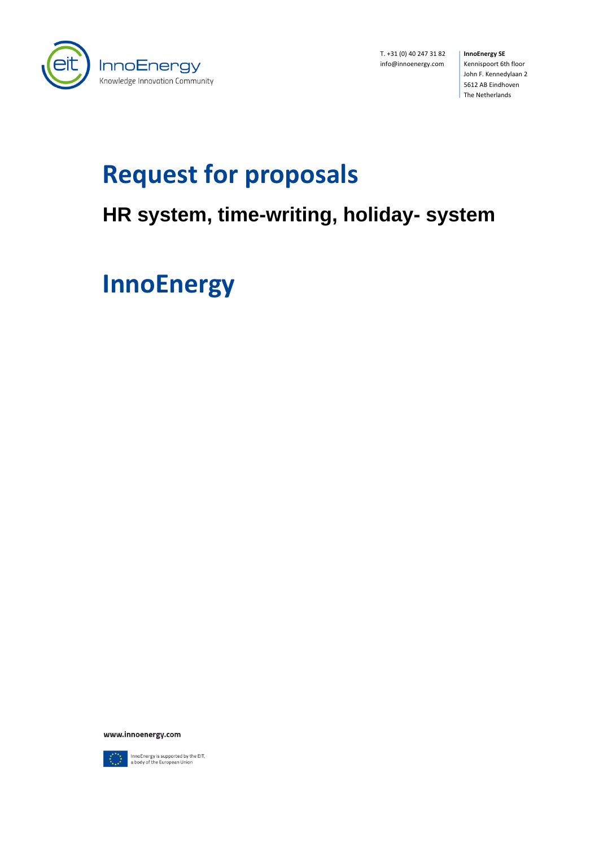

T. +31 (0) 40 247 31 82 info@innoenergy.com

**InnoEnergy SE** Kennispoort 6th floor John F. Kennedylaan 2 5612 AB Eindhoven The Netherlands

# **Request for proposals**

## **HR system, time-writing, holiday- system**

**InnoEnergy**

www.innoenergy.com



InnoEnergy is supported by the EIT,<br>a body of the European Union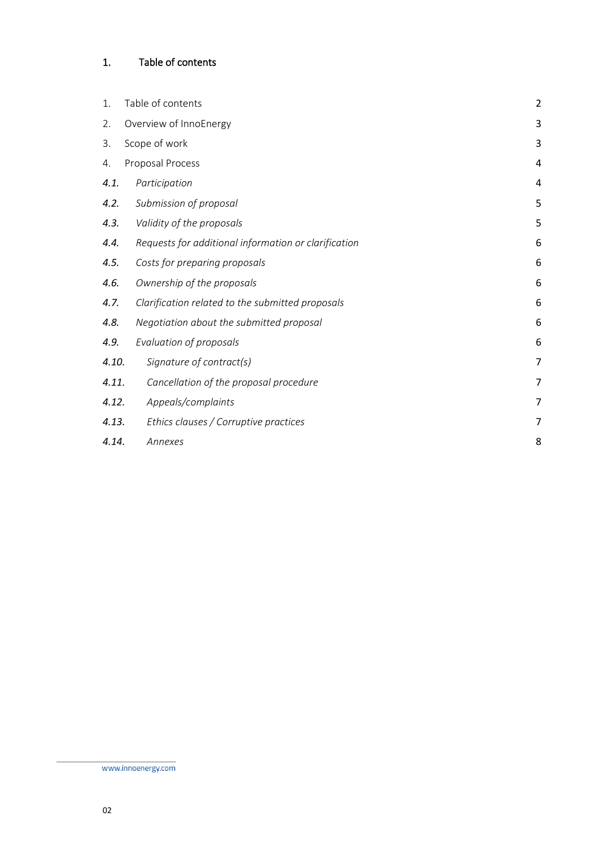### <span id="page-1-0"></span>1. Table of contents

| 1.    | Table of contents                                    | $\overline{c}$ |
|-------|------------------------------------------------------|----------------|
| 2.    | Overview of InnoEnergy                               | 3              |
| 3.    | Scope of work                                        | 3              |
| 4.    | Proposal Process                                     | 4              |
| 4.1.  | Participation                                        | 4              |
| 4.2.  | Submission of proposal                               | 5              |
| 4.3.  | Validity of the proposals                            | 5              |
| 4.4.  | Requests for additional information or clarification | 6              |
| 4.5.  | Costs for preparing proposals                        | 6              |
| 4.6.  | Ownership of the proposals                           | 6              |
| 4.7.  | Clarification related to the submitted proposals     | 6              |
| 4.8.  | Negotiation about the submitted proposal             | 6              |
| 4.9.  | Evaluation of proposals                              | 6              |
| 4.10. | Signature of contract(s)                             | 7              |
| 4.11. | Cancellation of the proposal procedure               | 7              |
| 4.12. | Appeals/complaints                                   | 7              |
| 4.13. | Ethics clauses / Corruptive practices                | 7              |
| 4.14. | Annexes                                              | 8              |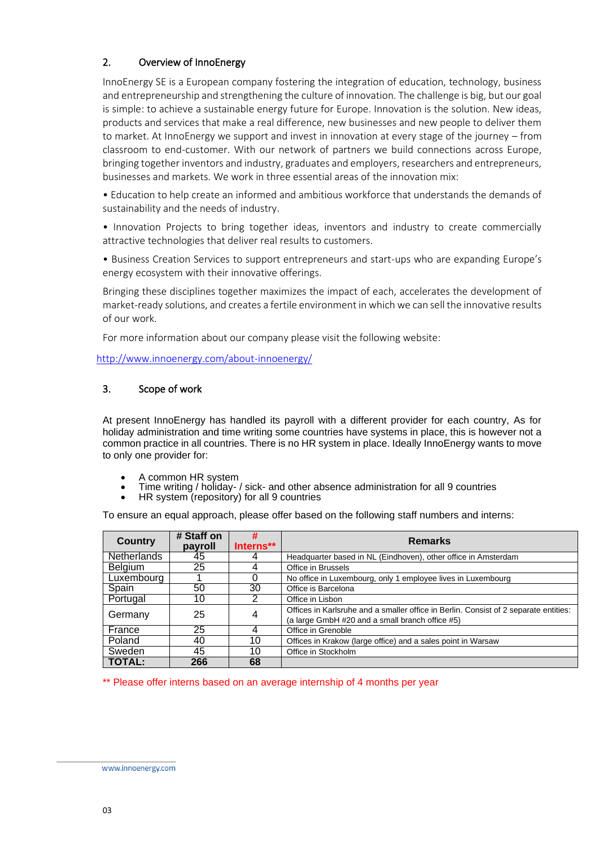#### <span id="page-2-0"></span>2. Overview of InnoEnergy

InnoEnergy SE is a European company fostering the integration of education, technology, business and entrepreneurship and strengthening the culture of innovation. The challenge is big, but our goal is simple: to achieve a sustainable energy future for Europe. Innovation is the solution. New ideas, products and services that make a real difference, new businesses and new people to deliver them to market. At InnoEnergy we support and invest in innovation at every stage of the journey – from classroom to end-customer. With our network of partners we build connections across Europe, bringing together inventors and industry, graduates and employers, researchers and entrepreneurs, businesses and markets. We work in three essential areas of the innovation mix:

• Education to help create an informed and ambitious workforce that understands the demands of sustainability and the needs of industry.

• Innovation Projects to bring together ideas, inventors and industry to create commercially attractive technologies that deliver real results to customers.

• Business Creation Services to support entrepreneurs and start-ups who are expanding Europe's energy ecosystem with their innovative offerings.

Bringing these disciplines together maximizes the impact of each, accelerates the development of market-ready solutions, and creates a fertile environment in which we can sell the innovative results of our work.

For more information about our company please visit the following website:

<http://www.innoenergy.com/about-innoenergy/>

#### <span id="page-2-1"></span>3. Scope of work

At present InnoEnergy has handled its payroll with a different provider for each country, As for holiday administration and time writing some countries have systems in place, this is however not a common practice in all countries. There is no HR system in place. Ideally InnoEnergy wants to move to only one provider for:

- A common HR system
- Time writing / holiday- / sick- and other absence administration for all 9 countries
- HR system (repository) for all 9 countries

To ensure an equal approach, please offer based on the following staff numbers and interns:

| Country        | # Staff on<br>payroll | #<br>Interns** | <b>Remarks</b>                                                                                                                          |
|----------------|-----------------------|----------------|-----------------------------------------------------------------------------------------------------------------------------------------|
| Netherlands    | 45                    |                | Headquarter based in NL (Eindhoven), other office in Amsterdam                                                                          |
| <b>Belgium</b> | 25                    | 4              | Office in Brussels                                                                                                                      |
| Luxembourg     |                       | 0              | No office in Luxembourg, only 1 employee lives in Luxembourg                                                                            |
| Spain          | 50                    | 30             | Office is Barcelona                                                                                                                     |
| Portugal       | 10                    | 2              | Office in Lisbon                                                                                                                        |
| Germany        | 25                    | 4              | Offices in Karlsruhe and a smaller office in Berlin. Consist of 2 separate entities:<br>(a large GmbH #20 and a small branch office #5) |
| France         | 25                    | 4              | Office in Grenoble                                                                                                                      |
| Poland         | 40                    | 10             | Offices in Krakow (large office) and a sales point in Warsaw                                                                            |
| Sweden         | 45                    | 10             | Office in Stockholm                                                                                                                     |
| TOTAL:         | 266                   | 68             |                                                                                                                                         |

\*\* Please offer interns based on an average internship of 4 months per year

www.innoenergy.com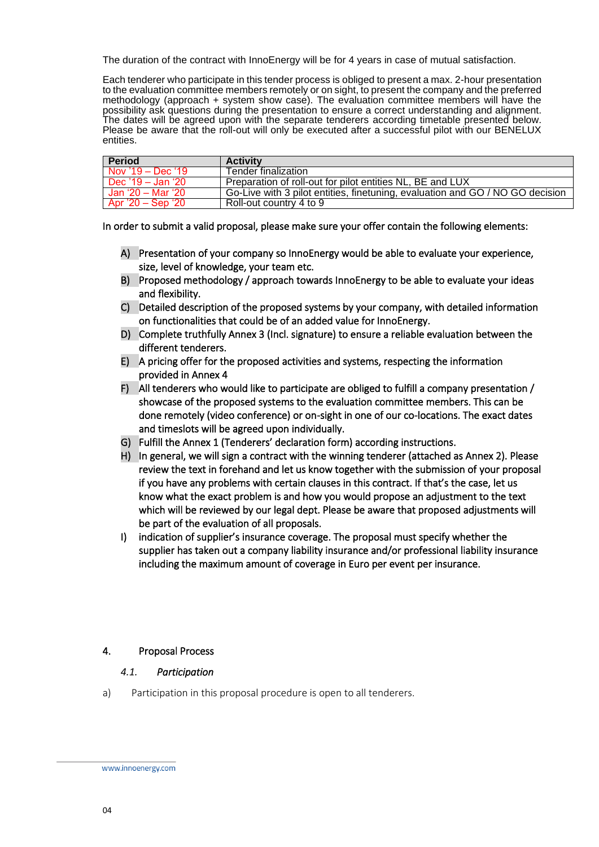The duration of the contract with InnoEnergy will be for 4 years in case of mutual satisfaction.

Each tenderer who participate in this tender process is obliged to present a max. 2-hour presentation to the evaluation committee members remotely or on sight, to present the company and the preferred methodology (approach + system show case). The evaluation committee members will have the possibility ask questions during the presentation to ensure a correct understanding and alignment. The dates will be agreed upon with the separate tenderers according timetable presented below. Please be aware that the roll-out will only be executed after a successful pilot with our BENELUX entities.

| <b>Period</b>       | <b>Activity</b>                                                               |
|---------------------|-------------------------------------------------------------------------------|
| Nov $'19 - Dec$ '19 | Tender finalization                                                           |
| Dec '19 – Jan '20   | Preparation of roll-out for pilot entities NL, BE and LUX                     |
| Jan '20 – Mar '20   | Go-Live with 3 pilot entities, finetuning, evaluation and GO / NO GO decision |
| Apr '20 – Sep '20   | Roll-out country 4 to 9                                                       |

In order to submit a valid proposal, please make sure your offer contain the following elements:

- A) Presentation of your company so InnoEnergy would be able to evaluate your experience, size, level of knowledge, your team etc.
- B) Proposed methodology / approach towards InnoEnergy to be able to evaluate your ideas and flexibility.
- C) Detailed description of the proposed systems by your company, with detailed information on functionalities that could be of an added value for InnoEnergy.
- D) Complete truthfully Annex 3 (Incl. signature) to ensure a reliable evaluation between the different tenderers.
- E) A pricing offer for the proposed activities and systems, respecting the information provided in Annex 4
- F) All tenderers who would like to participate are obliged to fulfill a company presentation / showcase of the proposed systems to the evaluation committee members. This can be done remotely (video conference) or on-sight in one of our co-locations. The exact dates and timeslots will be agreed upon individually.
- G) Fulfill the Annex 1 (Tenderers' declaration form) according instructions.
- H) In general, we will sign a contract with the winning tenderer (attached as Annex 2). Please review the text in forehand and let us know together with the submission of your proposal if you have any problems with certain clauses in this contract. If that's the case, let us know what the exact problem is and how you would propose an adjustment to the text which will be reviewed by our legal dept. Please be aware that proposed adjustments will be part of the evaluation of all proposals.
- I) indication of supplier's insurance coverage. The proposal must specify whether the supplier has taken out a company liability insurance and/or professional liability insurance including the maximum amount of coverage in Euro per event per insurance.

#### <span id="page-3-1"></span><span id="page-3-0"></span>4. Proposal Process

#### *4.1. Participation*

a) Participation in this proposal procedure is open to all tenderers.

www.innoenergy.com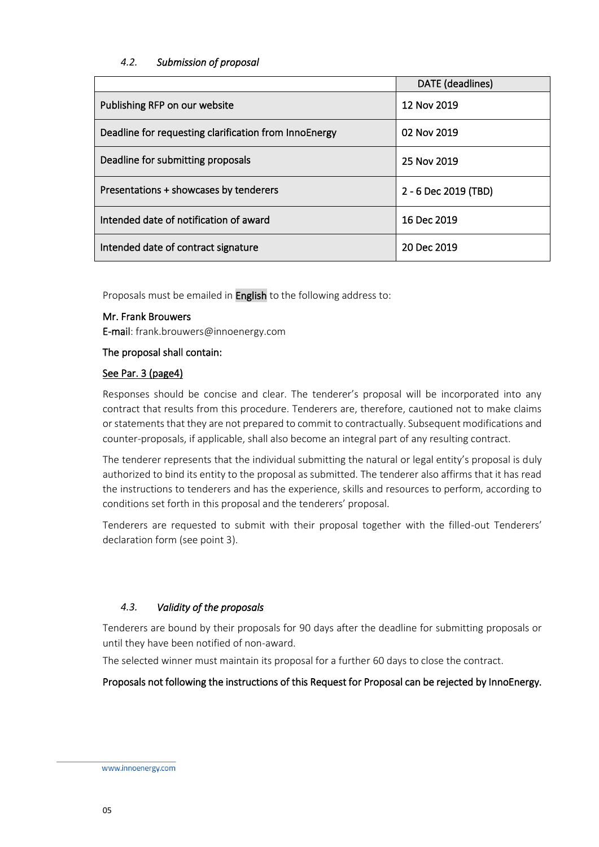#### <span id="page-4-0"></span>*4.2. Submission of proposal*

|                                                       | DATE (deadlines)     |
|-------------------------------------------------------|----------------------|
| Publishing RFP on our website                         | 12 Nov 2019          |
| Deadline for requesting clarification from InnoEnergy | 02 Nov 2019          |
| Deadline for submitting proposals                     | 25 Nov 2019          |
| Presentations + showcases by tenderers                | 2 - 6 Dec 2019 (TBD) |
| Intended date of notification of award                | 16 Dec 2019          |
| Intended date of contract signature                   | 20 Dec 2019          |

Proposals must be emailed in **English** to the following address to:

#### Mr. Frank Brouwers

E-mail: frank.brouwers@innoenergy.com

The proposal shall contain:

#### See Par. 3 (page4)

Responses should be concise and clear. The tenderer's proposal will be incorporated into any contract that results from this procedure. Tenderers are, therefore, cautioned not to make claims or statements that they are not prepared to commit to contractually. Subsequent modifications and counter-proposals, if applicable, shall also become an integral part of any resulting contract.

The tenderer represents that the individual submitting the natural or legal entity's proposal is duly authorized to bind its entity to the proposal as submitted. The tenderer also affirms that it has read the instructions to tenderers and has the experience, skills and resources to perform, according to conditions set forth in this proposal and the tenderers' proposal.

Tenderers are requested to submit with their proposal together with the filled-out Tenderers' declaration form (see point 3).

#### <span id="page-4-1"></span>*4.3. Validity of the proposals*

Tenderers are bound by their proposals for 90 days after the deadline for submitting proposals or until they have been notified of non-award.

The selected winner must maintain its proposal for a further 60 days to close the contract.

Proposals not following the instructions of this Request for Proposal can be rejected by InnoEnergy.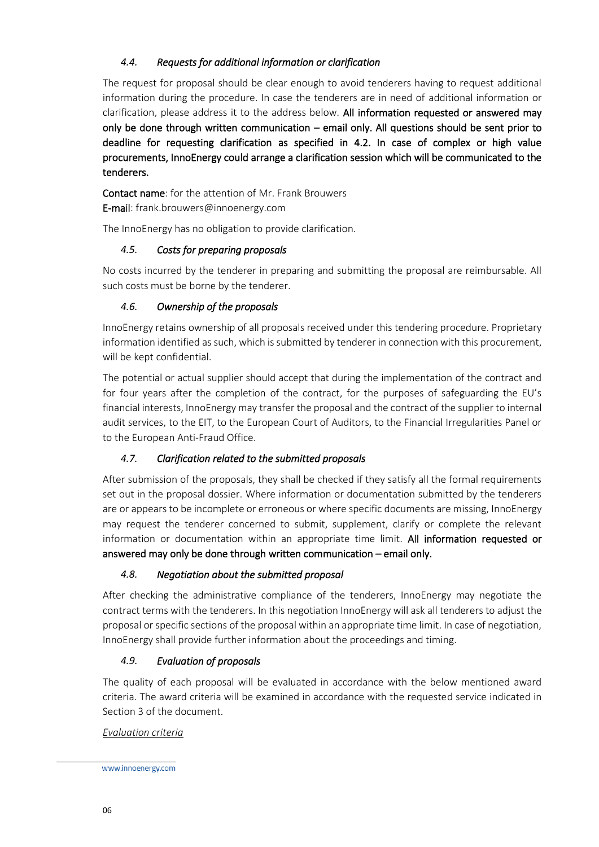#### <span id="page-5-0"></span>*4.4. Requests for additional information or clarification*

The request for proposal should be clear enough to avoid tenderers having to request additional information during the procedure. In case the tenderers are in need of additional information or clarification, please address it to the address below. All information requested or answered may only be done through written communication – email only. All questions should be sent prior to deadline for requesting clarification as specified in 4.2. In case of complex or high value procurements, InnoEnergy could arrange a clarification session which will be communicated to the tenderers.

Contact name: for the attention of Mr. Frank Brouwers E-mail: frank.brouwers@innoenergy.com

The InnoEnergy has no obligation to provide clarification.

#### <span id="page-5-1"></span>*4.5. Costs for preparing proposals*

No costs incurred by the tenderer in preparing and submitting the proposal are reimbursable. All such costs must be borne by the tenderer.

#### <span id="page-5-2"></span>*4.6. Ownership of the proposals*

InnoEnergy retains ownership of all proposals received under this tendering procedure. Proprietary information identified as such, which is submitted by tenderer in connection with this procurement, will be kept confidential.

The potential or actual supplier should accept that during the implementation of the contract and for four years after the completion of the contract, for the purposes of safeguarding the EU's financial interests, InnoEnergy may transfer the proposal and the contract of the supplier to internal audit services, to the EIT, to the European Court of Auditors, to the Financial Irregularities Panel or to the European Anti-Fraud Office.

#### <span id="page-5-3"></span>*4.7. Clarification related to the submitted proposals*

After submission of the proposals, they shall be checked if they satisfy all the formal requirements set out in the proposal dossier. Where information or documentation submitted by the tenderers are or appears to be incomplete or erroneous or where specific documents are missing, InnoEnergy may request the tenderer concerned to submit, supplement, clarify or complete the relevant information or documentation within an appropriate time limit. All information requested or answered may only be done through written communication – email only.

#### <span id="page-5-4"></span>*4.8. Negotiation about the submitted proposal*

After checking the administrative compliance of the tenderers, InnoEnergy may negotiate the contract terms with the tenderers. In this negotiation InnoEnergy will ask all tenderers to adjust the proposal or specific sections of the proposal within an appropriate time limit. In case of negotiation, InnoEnergy shall provide further information about the proceedings and timing.

#### <span id="page-5-5"></span>*4.9. Evaluation of proposals*

The quality of each proposal will be evaluated in accordance with the below mentioned award criteria. The award criteria will be examined in accordance with the requested service indicated in Section 3 of the document.

#### *Evaluation criteria*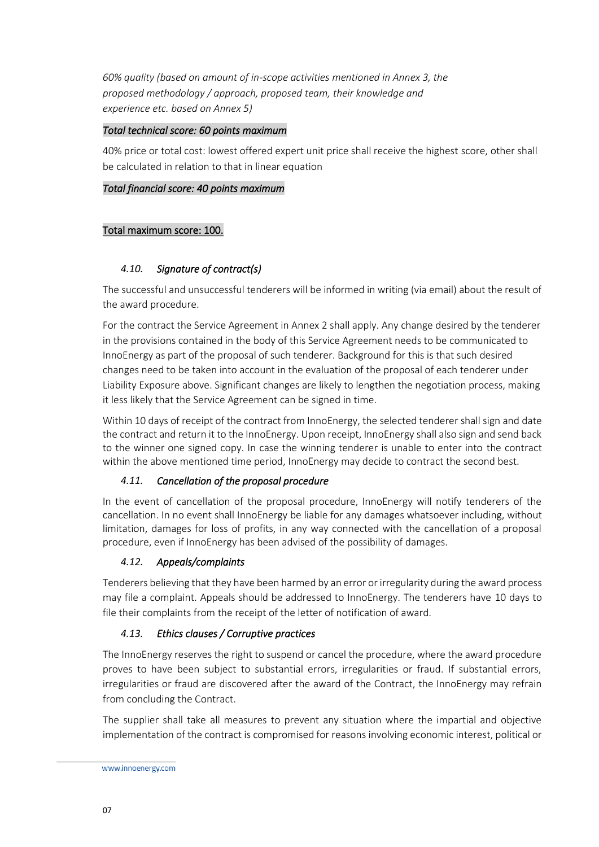*60% quality (based on amount of in-scope activities mentioned in Annex 3, the proposed methodology / approach, proposed team, their knowledge and experience etc. based on Annex 5)*

#### *Total technical score: 60 points maximum*

40% price or total cost: lowest offered expert unit price shall receive the highest score, other shall be calculated in relation to that in linear equation

#### *Total financial score: 40 points maximum*

#### Total maximum score: 100.

#### <span id="page-6-0"></span>*4.10. Signature of contract(s)*

The successful and unsuccessful tenderers will be informed in writing (via email) about the result of the award procedure.

For the contract the Service Agreement in Annex 2 shall apply. Any change desired by the tenderer in the provisions contained in the body of this Service Agreement needs to be communicated to InnoEnergy as part of the proposal of such tenderer. Background for this is that such desired changes need to be taken into account in the evaluation of the proposal of each tenderer under Liability Exposure above. Significant changes are likely to lengthen the negotiation process, making it less likely that the Service Agreement can be signed in time.

Within 10 days of receipt of the contract from InnoEnergy, the selected tenderer shall sign and date the contract and return it to the InnoEnergy. Upon receipt, InnoEnergy shall also sign and send back to the winner one signed copy. In case the winning tenderer is unable to enter into the contract within the above mentioned time period, InnoEnergy may decide to contract the second best.

#### <span id="page-6-1"></span>*4.11. Cancellation of the proposal procedure*

In the event of cancellation of the proposal procedure, InnoEnergy will notify tenderers of the cancellation. In no event shall InnoEnergy be liable for any damages whatsoever including, without limitation, damages for loss of profits, in any way connected with the cancellation of a proposal procedure, even if InnoEnergy has been advised of the possibility of damages.

#### <span id="page-6-2"></span>*4.12. Appeals/complaints*

Tenderers believing that they have been harmed by an error or irregularity during the award process may file a complaint. Appeals should be addressed to InnoEnergy. The tenderers have 10 days to file their complaints from the receipt of the letter of notification of award.

#### <span id="page-6-3"></span>*4.13. Ethics clauses / Corruptive practices*

The InnoEnergy reserves the right to suspend or cancel the procedure, where the award procedure proves to have been subject to substantial errors, irregularities or fraud. If substantial errors, irregularities or fraud are discovered after the award of the Contract, the InnoEnergy may refrain from concluding the Contract.

The supplier shall take all measures to prevent any situation where the impartial and objective implementation of the contract is compromised for reasons involving economic interest, political or

www.innoenergy.com